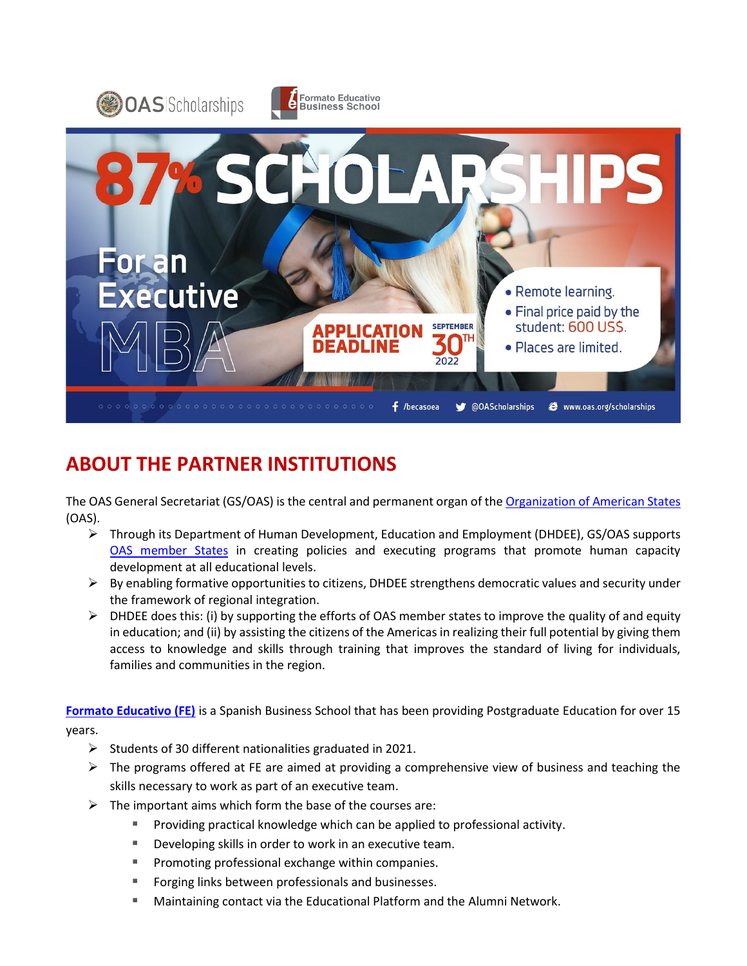

# **ABOUT THE PARTNER INSTITUTIONS**

The OAS General Secretariat (GS/OAS) is the central and permanent organ of th[e Organization of American States](http://www.oas.org/en/) (OAS).

- ➢ Through its Department of Human Development, Education and Employment (DHDEE), GS/OAS supports [OAS member States](http://www.oas.org/en/member_states/default.asp) in creating policies and executing programs that promote human capacity development at all educational levels.
- ➢ By enabling formative opportunities to citizens, DHDEE strengthens democratic values and security under the framework of regional integration.
- $\triangleright$  DHDEE does this: (i) by supporting the efforts of OAS member states to improve the quality of and equity in education; and (ii) by assisting the citizens of the Americas in realizing their full potential by giving them access to knowledge and skills through training that improves the standard of living for individuals, families and communities in the region.

**[Formato Educativo \(FE\)](http://www.formatoedu.com/)** is a Spanish Business School that has been providing Postgraduate Education for over 15 years.

- ➢ Students of 30 different nationalities graduated in 2021.
- $\triangleright$  The programs offered at FE are aimed at providing a comprehensive view of business and teaching the skills necessary to work as part of an executive team.
- $\triangleright$  The important aims which form the base of the courses are:
	- Providing practical knowledge which can be applied to professional activity.
	- Developing skills in order to work in an executive team.
	- Promoting professional exchange within companies.
	- Forging links between professionals and businesses.
	- **■** Maintaining contact via the Educational Platform and the Alumni Network.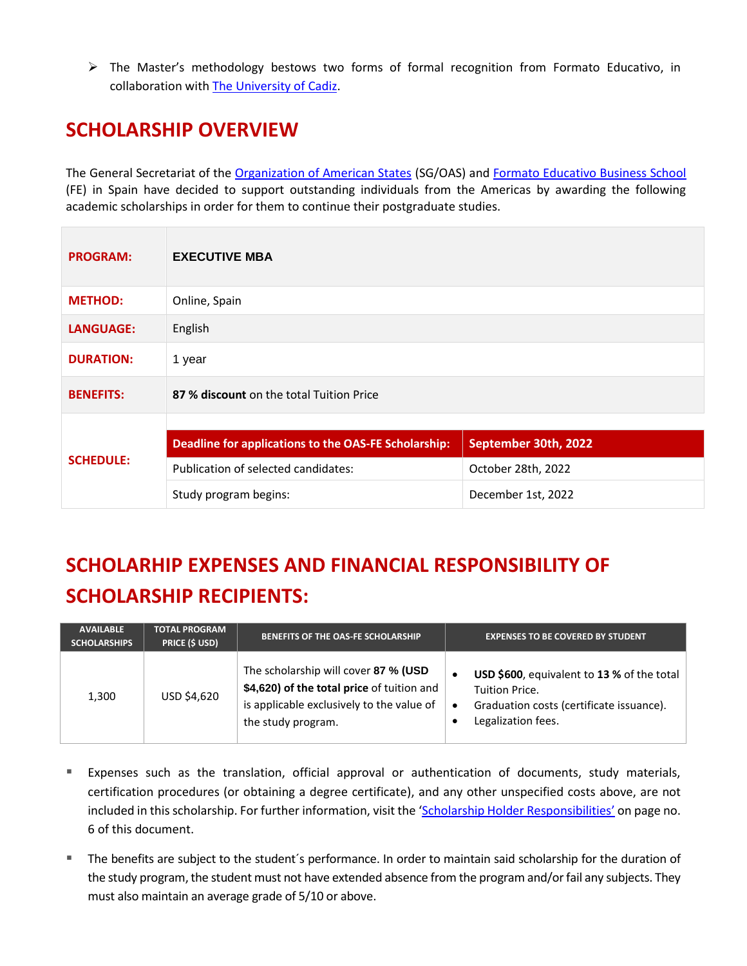➢ The Master's methodology bestows two forms of formal recognition from Formato Educativo, in collaboration with The [University](https://www.uca.es/?lang=en) of Cadiz.

### **SCHOLARSHIP OVERVIEW**

The General Secretariat of the [Organization of American States](http://www.oas.org/) (SG/OAS) and [Formato Educativo Business School](http://www.formatoedu.com/) (FE) in Spain have decided to support outstanding individuals from the Americas by awarding the following academic scholarships in order for them to continue their postgraduate studies.

| <b>PROGRAM:</b>  | <b>EXECUTIVE MBA</b>                                 |                      |  |
|------------------|------------------------------------------------------|----------------------|--|
| <b>METHOD:</b>   | Online, Spain                                        |                      |  |
| <b>LANGUAGE:</b> | English                                              |                      |  |
| <b>DURATION:</b> | 1 year                                               |                      |  |
| <b>BENEFITS:</b> | 87 % discount on the total Tuition Price             |                      |  |
| <b>SCHEDULE:</b> |                                                      |                      |  |
|                  | Deadline for applications to the OAS-FE Scholarship: | September 30th, 2022 |  |
|                  | Publication of selected candidates:                  | October 28th, 2022   |  |
|                  | Study program begins:                                | December 1st, 2022   |  |

# **SCHOLARHIP EXPENSES AND FINANCIAL RESPONSIBILITY OF SCHOLARSHIP RECIPIENTS:**

| <b>AVAILABLE</b><br><b>SCHOLARSHIPS</b> | <b>TOTAL PROGRAM</b><br><b>PRICE (\$ USD)</b> | <b>BENEFITS OF THE OAS-FE SCHOLARSHIP</b>                                                                                                             | <b>EXPENSES TO BE COVERED BY STUDENT</b>                                                                                       |
|-----------------------------------------|-----------------------------------------------|-------------------------------------------------------------------------------------------------------------------------------------------------------|--------------------------------------------------------------------------------------------------------------------------------|
| 1,300                                   | USD \$4,620                                   | The scholarship will cover 87 % (USD<br>\$4,620) of the total price of tuition and<br>is applicable exclusively to the value of<br>the study program. | USD \$600, equivalent to 13 % of the total<br>Tuition Price.<br>Graduation costs (certificate issuance).<br>Legalization fees. |

- Expenses such as the translation, official approval or authentication of documents, study materials, certification procedures (or obtaining a degree certificate), and any other unspecified costs above, are not included in this scholarship. For further information, visit the '[Scholarship Holder Responsibilities](#page-4-0)' on page no. 6 of this document.
- The benefits are subject to the student's performance. In order to maintain said scholarship for the duration of the study program, the student must not have extended absence from the program and/or fail any subjects. They must also maintain an average grade of 5/10 or above.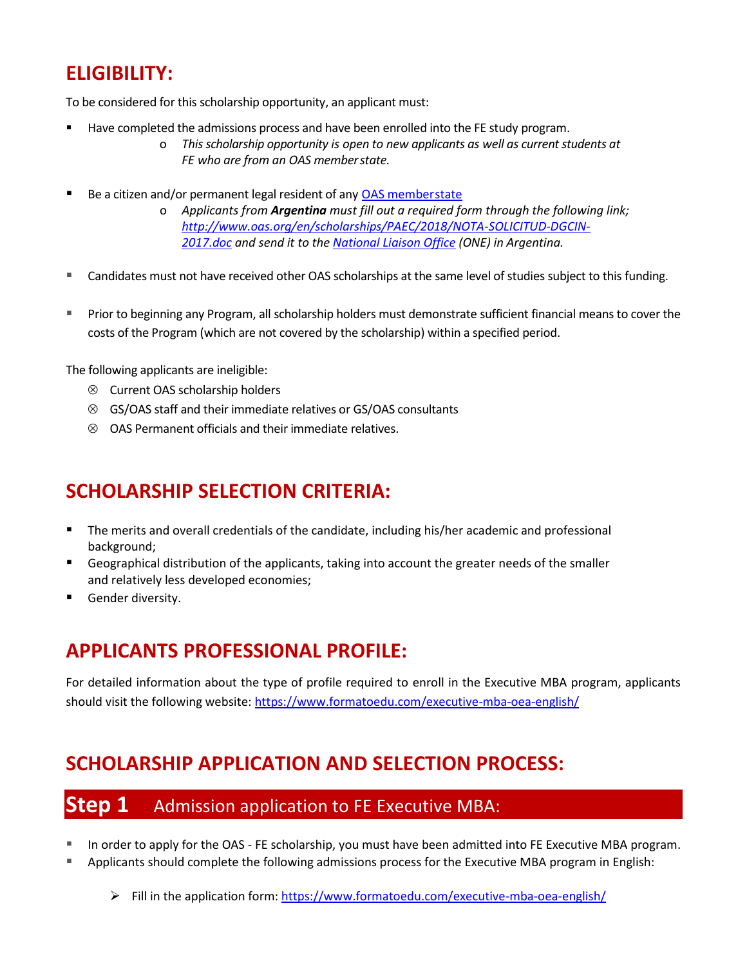# **ELIGIBILITY:**

To be considered for this scholarship opportunity, an applicant must:

- Have completed the admissions process and have been enrolled into the FE study program.
	- o *This scholarship opportunity is open to new applicants as well as current students at FE who are from an OAS memberstate.*
- Be a citizen and/or permanent legal resident of any [OAS memberstate](http://www.oas.org/en/member_states/default.asp)
	- o *Applicants from Argentina must fill out a required form through the following link; [http://www.oas.org/en/scholarships/PAEC/2018/NOTA-SOLICITUD-DGCIN-](http://www.oas.org/en/scholarships/PAEC/2018/NOTA-SOLICITUD-DGCIN-2017.doc)[2017.doc](http://www.oas.org/en/scholarships/PAEC/2018/NOTA-SOLICITUD-DGCIN-2017.doc) and send it to the [National Liaison Office](http://www.oas.org/en/scholarships/regularprogram/one.asp) (ONE) in Argentina.*
- Candidates must not have received other OAS scholarships at the same level of studies subject to this funding.
- Prior to beginning any Program, all scholarship holders must demonstrate sufficient financial means to cover the costs of the Program (which are not covered by the scholarship) within a specified period.

The following applicants are ineligible:

- Current OAS scholarship holders
- GS/OAS staff and their immediate relatives or GS/OAS consultants
- $\otimes$  OAS Permanent officials and their immediate relatives.

## **SCHOLARSHIP SELECTION CRITERIA:**

- The merits and overall credentials of the candidate, including his/her academic and professional background;
- Geographical distribution of the applicants, taking into account the greater needs of the smaller and relatively less developed economies;
- Gender diversity.

# **APPLICANTS PROFESSIONAL PROFILE:**

For detailed information about the type of profile required to enroll in the Executive MBA program, applicants should visit the following website[: https://www.formatoedu.com/executive-mba-oea-english/](https://www.formatoedu.com/executive-mba-oea-english/)

## **SCHOLARSHIP APPLICATION AND SELECTION PROCESS:**

#### **Step 1** Admission application to FE Executive MBA:

- In order to apply for the OAS FE scholarship, you must have been admitted into FE Executive MBA program.
- Applicants should complete the following admissions process for the Executive MBA program in English:
	- ➢ Fill in the application form[: https://www.formatoedu.com/executive-mba-oea-english/](https://www.formatoedu.com/executive-mba-oea-english/)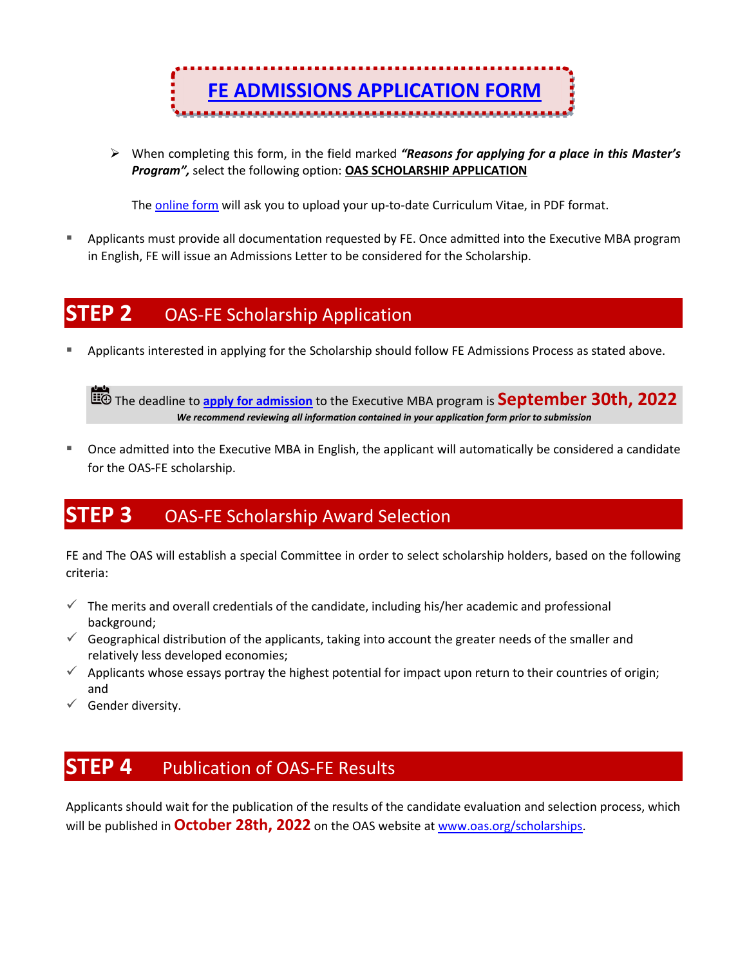

➢ When completing this form, in the field marked *"Reasons for applying for a place in this Master's Program",* select the following option: **OAS SCHOLARSHIP APPLICATION**

The [online form](https://www.formatoedu.com/executive-mba-oea-english/) will ask you to upload your up-to-date Curriculum Vitae, in PDF format.

Applicants must provide all documentation requested by FE. Once admitted into the Executive MBA program in English, FE will issue an Admissions Letter to be considered for the Scholarship.

#### **STEP 2** OAS-FE Scholarship Application

Applicants interested in applying for the Scholarship should follow FE Admissions Process as stated above.

The deadline to **[apply for admission](https://www.formatoedu.com/executive-mba-oea-english/)** to the Executive MBA program is **September 30th, 2022** *We recommend reviewing all information contained in your application form prior to submission*

■ Once admitted into the Executive MBA in English, the applicant will automatically be considered a candidate for the OAS-FE scholarship.

#### **STEP 3** OAS-FE Scholarship Award Selection

FE and The OAS will establish a special Committee in order to select scholarship holders, based on the following criteria:

- $\checkmark$  The merits and overall credentials of the candidate, including his/her academic and professional background;
- $\checkmark$  Geographical distribution of the applicants, taking into account the greater needs of the smaller and relatively less developed economies;
- $\checkmark$  Applicants whose essays portray the highest potential for impact upon return to their countries of origin; and
- $\checkmark$  Gender diversity.

#### **STEP 4** Publication of OAS-FE Results

Applicants should wait for the publication of the results of the candidate evaluation and selection process, which will be published in **October 28th, 2022** on the OAS website at [www.oas.org/scholarships.](http://www.oas.org/scholarships)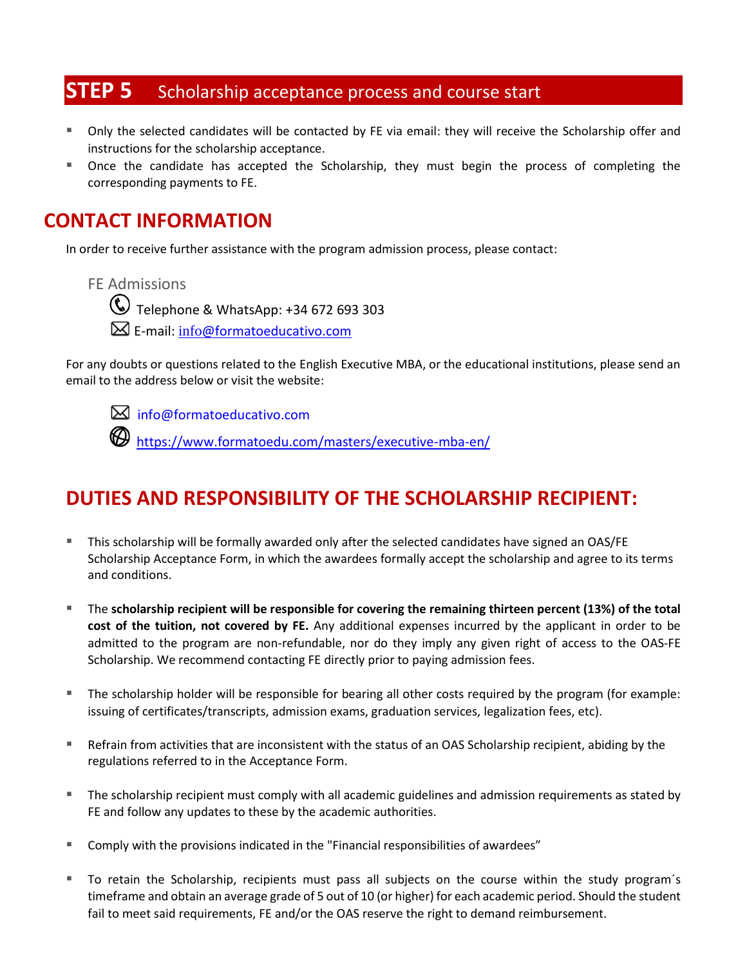# **STEP 5** Scholarship acceptance process and course start

- Only the selected candidates will be contacted by FE via email: they will receive the Scholarship offer and instructions for the scholarship acceptance.
- Once the candidate has accepted the Scholarship, they must begin the process of completing the corresponding payments to FE.

#### **CONTACT INFORMATION**

In order to receive further assistance with the program admission process, please contact:

FE Admissions

Telephone & WhatsApp: +34 672 693 303

E-mail: info[@formatoeducativo.com](mailto:becas@formatoedu.com)

For any doubts or questions related to the English Executive MBA, or the educational institutions, please send an email to the address below or visit the website:



info@formatoeducativo.com

<https://www.formatoedu.com/masters/executive-mba-en/>

## <span id="page-4-0"></span>**DUTIES AND RESPONSIBILITY OF THE SCHOLARSHIP RECIPIENT:**

- This scholarship will be formally awarded only after the selected candidates have signed an OAS/FE Scholarship Acceptance Form, in which the awardees formally accept the scholarship and agree to its terms and conditions.
- The **scholarship recipient will be responsible for covering the remaining thirteen percent (13%) of the total cost of the tuition, not covered by FE.** Any additional expenses incurred by the applicant in order to be admitted to the program are non-refundable, nor do they imply any given right of access to the OAS-FE Scholarship. We recommend contacting FE directly prior to paying admission fees.
- The scholarship holder will be responsible for bearing all other costs required by the program (for example: issuing of certificates/transcripts, admission exams, graduation services, legalization fees, etc).
- Refrain from activities that are inconsistent with the status of an OAS Scholarship recipient, abiding by the regulations referred to in the Acceptance Form.
- The scholarship recipient must comply with all academic guidelines and admission requirements as stated by FE and follow any updates to these by the academic authorities.
- Comply with the provisions indicated in the "Financial responsibilities of awardees"
- To retain the Scholarship, recipients must pass all subjects on the course within the study program's timeframe and obtain an average grade of 5 out of 10 (or higher) for each academic period. Should the student fail to meet said requirements, FE and/or the OAS reserve the right to demand reimbursement.